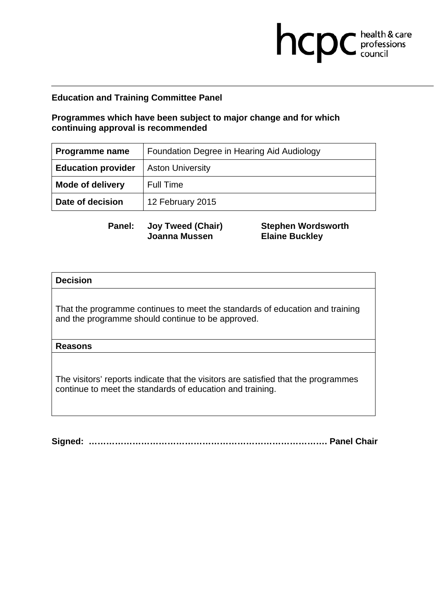## **Programmes which have been subject to major change and for which continuing approval is recommended**

| Programme name            | Foundation Degree in Hearing Aid Audiology |
|---------------------------|--------------------------------------------|
| <b>Education provider</b> | <b>Aston University</b>                    |
| <b>Mode of delivery</b>   | <b>Full Time</b>                           |
| Date of decision          | 12 February 2015                           |

**Panel: Joy Tweed (Chair) Joanna Mussen** 

**Stephen Wordsworth Elaine Buckley** 

hcpc health & care

### **Decision**

That the programme continues to meet the standards of education and training and the programme should continue to be approved.

### **Reasons**

The visitors' reports indicate that the visitors are satisfied that the programmes continue to meet the standards of education and training.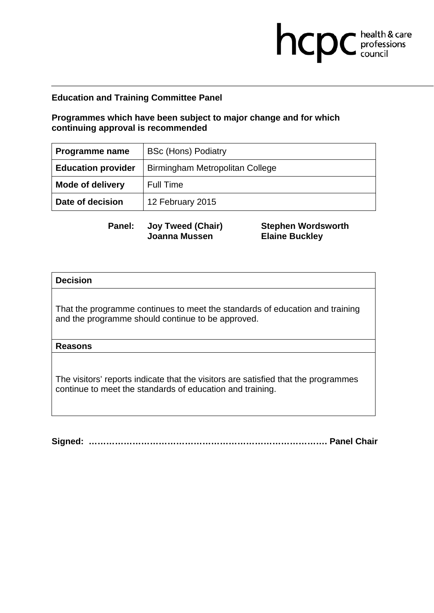## **Programmes which have been subject to major change and for which continuing approval is recommended**

| Programme name            | <b>BSc (Hons) Podiatry</b>      |
|---------------------------|---------------------------------|
| <b>Education provider</b> | Birmingham Metropolitan College |
| <b>Mode of delivery</b>   | <b>Full Time</b>                |
| Date of decision          | 12 February 2015                |

**Panel: Joy Tweed (Chair) Joanna Mussen** 

**Stephen Wordsworth Elaine Buckley** 

hcpc health & care

### **Decision**

That the programme continues to meet the standards of education and training and the programme should continue to be approved.

### **Reasons**

The visitors' reports indicate that the visitors are satisfied that the programmes continue to meet the standards of education and training.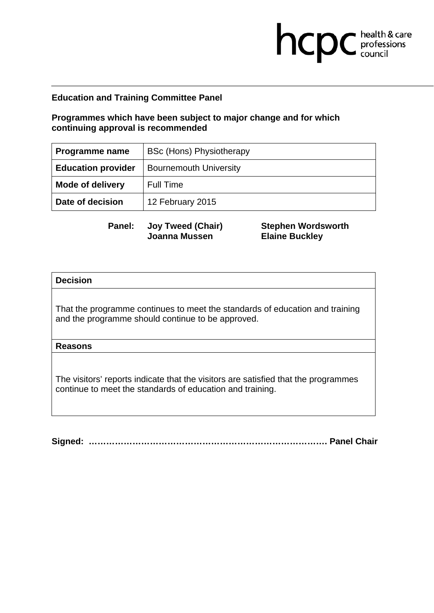## **Programmes which have been subject to major change and for which continuing approval is recommended**

| <b>Programme name</b>     | BSc (Hons) Physiotherapy      |
|---------------------------|-------------------------------|
| <b>Education provider</b> | <b>Bournemouth University</b> |
| <b>Mode of delivery</b>   | <b>Full Time</b>              |
| Date of decision          | 12 February 2015              |

**Panel: Joy Tweed (Chair) Joanna Mussen** 

**Stephen Wordsworth Elaine Buckley** 

hcpc health & care

### **Decision**

That the programme continues to meet the standards of education and training and the programme should continue to be approved.

### **Reasons**

The visitors' reports indicate that the visitors are satisfied that the programmes continue to meet the standards of education and training.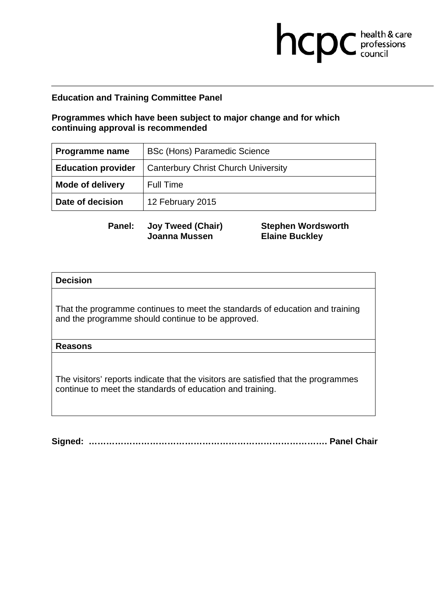## **Programmes which have been subject to major change and for which continuing approval is recommended**

| <b>Programme name</b>     | <b>BSc (Hons) Paramedic Science</b>        |
|---------------------------|--------------------------------------------|
| <b>Education provider</b> | <b>Canterbury Christ Church University</b> |
| <b>Mode of delivery</b>   | <b>Full Time</b>                           |
| Date of decision          | 12 February 2015                           |

**Panel: Joy Tweed (Chair) Joanna Mussen** 

**Stephen Wordsworth Elaine Buckley** 

hcpc health & care

### **Decision**

That the programme continues to meet the standards of education and training and the programme should continue to be approved.

### **Reasons**

The visitors' reports indicate that the visitors are satisfied that the programmes continue to meet the standards of education and training.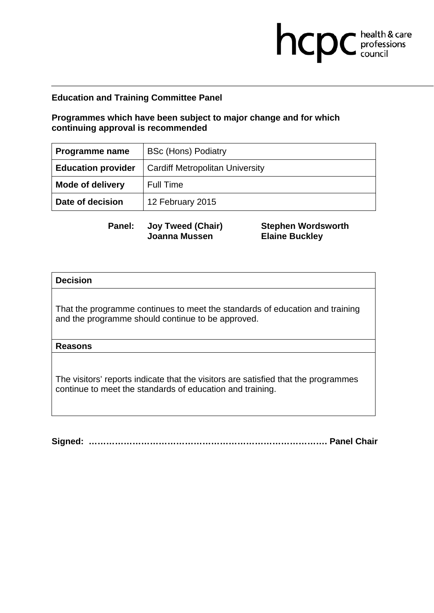## **Programmes which have been subject to major change and for which continuing approval is recommended**

| Programme name            | <b>BSc (Hons) Podiatry</b>             |
|---------------------------|----------------------------------------|
| <b>Education provider</b> | <b>Cardiff Metropolitan University</b> |
| <b>Mode of delivery</b>   | <b>Full Time</b>                       |
| Date of decision          | 12 February 2015                       |

**Panel: Joy Tweed (Chair) Joanna Mussen** 

**Stephen Wordsworth Elaine Buckley** 

hcpc health & care

### **Decision**

That the programme continues to meet the standards of education and training and the programme should continue to be approved.

### **Reasons**

The visitors' reports indicate that the visitors are satisfied that the programmes continue to meet the standards of education and training.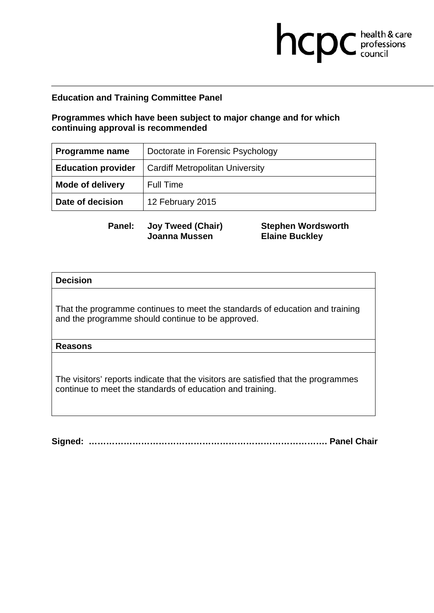## **Programmes which have been subject to major change and for which continuing approval is recommended**

| Programme name            | Doctorate in Forensic Psychology       |
|---------------------------|----------------------------------------|
| <b>Education provider</b> | <b>Cardiff Metropolitan University</b> |
| <b>Mode of delivery</b>   | <b>Full Time</b>                       |
| Date of decision          | 12 February 2015                       |

**Panel: Joy Tweed (Chair) Joanna Mussen** 

**Stephen Wordsworth Elaine Buckley** 

hcpc health & care

### **Decision**

That the programme continues to meet the standards of education and training and the programme should continue to be approved.

### **Reasons**

The visitors' reports indicate that the visitors are satisfied that the programmes continue to meet the standards of education and training.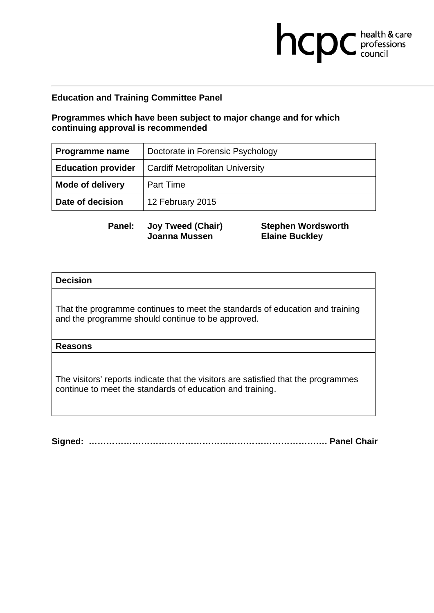## **Programmes which have been subject to major change and for which continuing approval is recommended**

| Programme name            | Doctorate in Forensic Psychology       |
|---------------------------|----------------------------------------|
| <b>Education provider</b> | <b>Cardiff Metropolitan University</b> |
| <b>Mode of delivery</b>   | <b>Part Time</b>                       |
| Date of decision          | 12 February 2015                       |

**Panel: Joy Tweed (Chair) Joanna Mussen** 

**Stephen Wordsworth Elaine Buckley** 

hcpc health & care

### **Decision**

That the programme continues to meet the standards of education and training and the programme should continue to be approved.

### **Reasons**

The visitors' reports indicate that the visitors are satisfied that the programmes continue to meet the standards of education and training.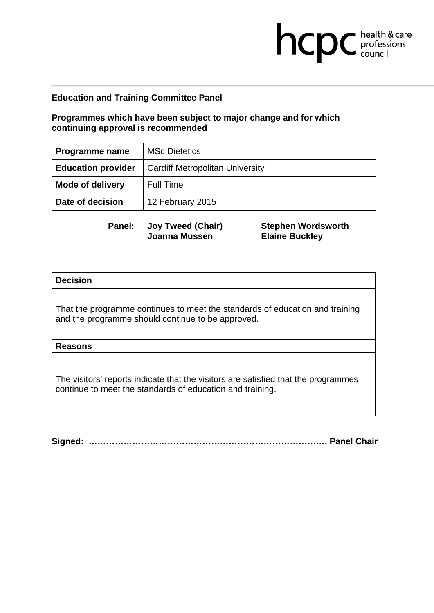## **Programmes which have been subject to major change and for which continuing approval is recommended**

| Programme name            | <b>MSc Dietetics</b>                   |
|---------------------------|----------------------------------------|
| <b>Education provider</b> | <b>Cardiff Metropolitan University</b> |
| <b>Mode of delivery</b>   | <b>Full Time</b>                       |
| Date of decision          | 12 February 2015                       |

**Panel: Joy Tweed (Chair) Joanna Mussen** 

**Stephen Wordsworth Elaine Buckley** 

hcpc health & care

### **Decision**

That the programme continues to meet the standards of education and training and the programme should continue to be approved.

### **Reasons**

The visitors' reports indicate that the visitors are satisfied that the programmes continue to meet the standards of education and training.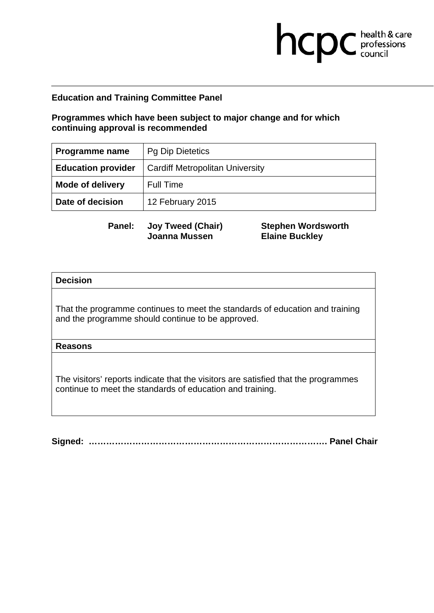## **Programmes which have been subject to major change and for which continuing approval is recommended**

| Programme name            | <b>Pg Dip Dietetics</b>                |
|---------------------------|----------------------------------------|
| <b>Education provider</b> | <b>Cardiff Metropolitan University</b> |
| <b>Mode of delivery</b>   | <b>Full Time</b>                       |
| Date of decision          | 12 February 2015                       |

**Panel: Joy Tweed (Chair) Joanna Mussen** 

**Stephen Wordsworth Elaine Buckley** 

hcpc health & care

### **Decision**

That the programme continues to meet the standards of education and training and the programme should continue to be approved.

### **Reasons**

The visitors' reports indicate that the visitors are satisfied that the programmes continue to meet the standards of education and training.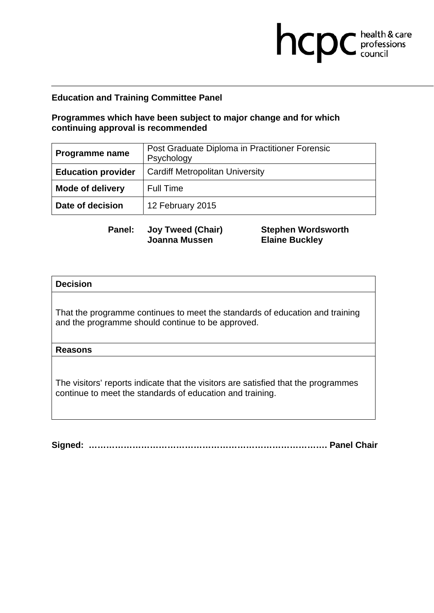# **Programmes which have been subject to major change and for which continuing approval is recommended**

| <b>Programme name</b>     | Post Graduate Diploma in Practitioner Forensic<br>Psychology |
|---------------------------|--------------------------------------------------------------|
| <b>Education provider</b> | <b>Cardiff Metropolitan University</b>                       |
| <b>Mode of delivery</b>   | <b>Full Time</b>                                             |
| Date of decision          | 12 February 2015                                             |

**Panel: Joy Tweed (Chair) Joanna Mussen** 

**Stephen Wordsworth Elaine Buckley** 

hcpc health & care

### **Decision**

That the programme continues to meet the standards of education and training and the programme should continue to be approved.

### **Reasons**

The visitors' reports indicate that the visitors are satisfied that the programmes continue to meet the standards of education and training.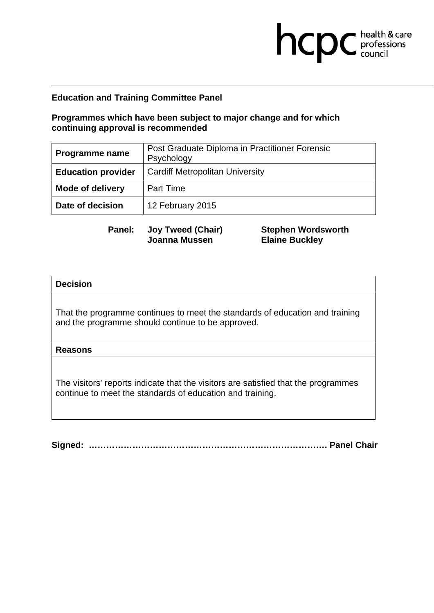# **Programmes which have been subject to major change and for which continuing approval is recommended**

| <b>Programme name</b>     | Post Graduate Diploma in Practitioner Forensic<br>Psychology |
|---------------------------|--------------------------------------------------------------|
| <b>Education provider</b> | <b>Cardiff Metropolitan University</b>                       |
| <b>Mode of delivery</b>   | <b>Part Time</b>                                             |
| Date of decision          | 12 February 2015                                             |

**Panel: Joy Tweed (Chair) Joanna Mussen** 

**Stephen Wordsworth Elaine Buckley** 

hcpc health & care

### **Decision**

That the programme continues to meet the standards of education and training and the programme should continue to be approved.

### **Reasons**

The visitors' reports indicate that the visitors are satisfied that the programmes continue to meet the standards of education and training.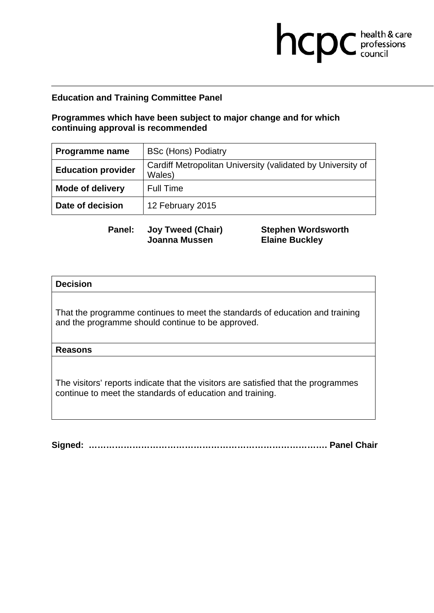## **Programmes which have been subject to major change and for which continuing approval is recommended**

| Programme name            | <b>BSc (Hons) Podiatry</b>                                            |
|---------------------------|-----------------------------------------------------------------------|
| <b>Education provider</b> | Cardiff Metropolitan University (validated by University of<br>Wales) |
| <b>Mode of delivery</b>   | <b>Full Time</b>                                                      |
| Date of decision          | 12 February 2015                                                      |

**Panel: Joy Tweed (Chair) Joanna Mussen** 

**Stephen Wordsworth Elaine Buckley** 

hcpc health & care

### **Decision**

That the programme continues to meet the standards of education and training and the programme should continue to be approved.

### **Reasons**

The visitors' reports indicate that the visitors are satisfied that the programmes continue to meet the standards of education and training.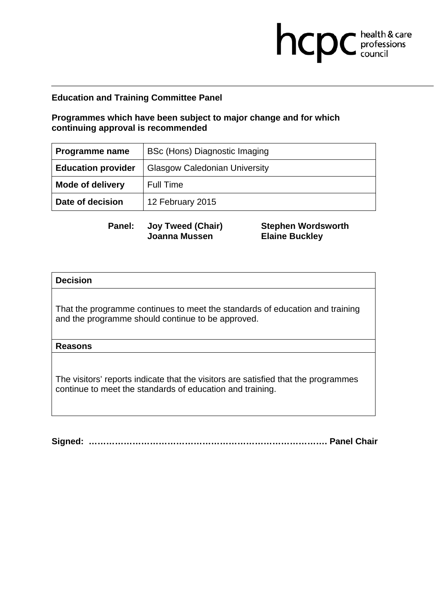## **Programmes which have been subject to major change and for which continuing approval is recommended**

| Programme name            | BSc (Hons) Diagnostic Imaging        |
|---------------------------|--------------------------------------|
| <b>Education provider</b> | <b>Glasgow Caledonian University</b> |
| <b>Mode of delivery</b>   | <b>Full Time</b>                     |
| Date of decision          | 12 February 2015                     |

**Panel: Joy Tweed (Chair) Joanna Mussen** 

**Stephen Wordsworth Elaine Buckley** 

hcpc health & care

### **Decision**

That the programme continues to meet the standards of education and training and the programme should continue to be approved.

### **Reasons**

The visitors' reports indicate that the visitors are satisfied that the programmes continue to meet the standards of education and training.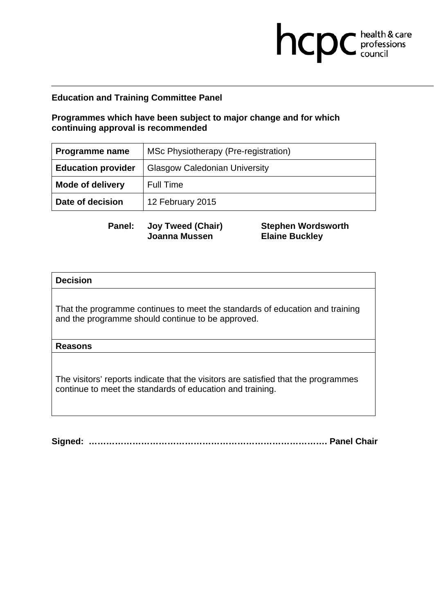# **Programmes which have been subject to major change and for which continuing approval is recommended**

| Programme name            | MSc Physiotherapy (Pre-registration) |
|---------------------------|--------------------------------------|
| <b>Education provider</b> | <b>Glasgow Caledonian University</b> |
| <b>Mode of delivery</b>   | <b>Full Time</b>                     |
| Date of decision          | 12 February 2015                     |

**Panel: Joy Tweed (Chair) Joanna Mussen** 

**Stephen Wordsworth Elaine Buckley** 

hcpc health & care

### **Decision**

That the programme continues to meet the standards of education and training and the programme should continue to be approved.

### **Reasons**

The visitors' reports indicate that the visitors are satisfied that the programmes continue to meet the standards of education and training.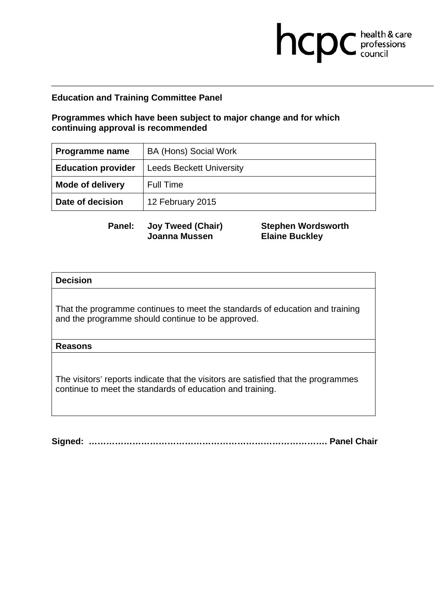## **Programmes which have been subject to major change and for which continuing approval is recommended**

| Programme name            | <b>BA (Hons) Social Work</b>    |
|---------------------------|---------------------------------|
| <b>Education provider</b> | <b>Leeds Beckett University</b> |
| <b>Mode of delivery</b>   | Full Time                       |
| Date of decision          | 12 February 2015                |

**Panel: Joy Tweed (Chair) Joanna Mussen** 

**Stephen Wordsworth Elaine Buckley** 

hcpc health & care

### **Decision**

That the programme continues to meet the standards of education and training and the programme should continue to be approved.

### **Reasons**

The visitors' reports indicate that the visitors are satisfied that the programmes continue to meet the standards of education and training.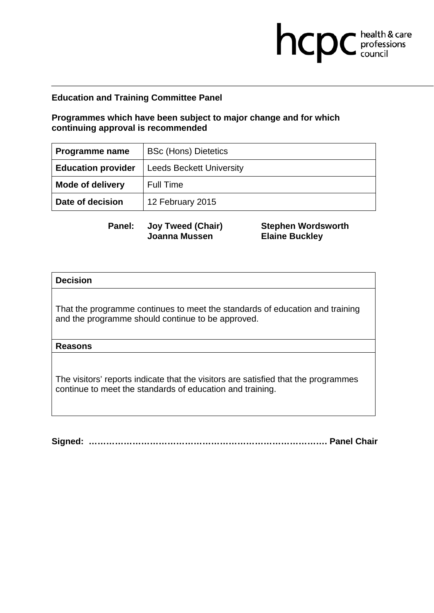## **Programmes which have been subject to major change and for which continuing approval is recommended**

| Programme name            | <b>BSc (Hons) Dietetics</b>     |
|---------------------------|---------------------------------|
| <b>Education provider</b> | <b>Leeds Beckett University</b> |
| <b>Mode of delivery</b>   | Full Time                       |
| Date of decision          | 12 February 2015                |

**Panel: Joy Tweed (Chair) Joanna Mussen** 

**Stephen Wordsworth Elaine Buckley** 

hcpc health & care

### **Decision**

That the programme continues to meet the standards of education and training and the programme should continue to be approved.

### **Reasons**

The visitors' reports indicate that the visitors are satisfied that the programmes continue to meet the standards of education and training.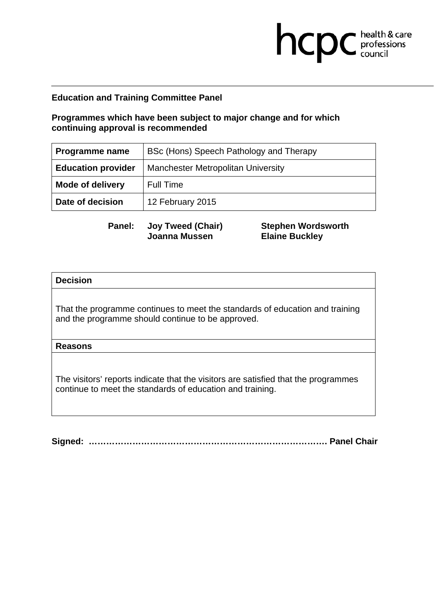# **Programmes which have been subject to major change and for which continuing approval is recommended**

| <b>Programme name</b>     | BSc (Hons) Speech Pathology and Therapy   |
|---------------------------|-------------------------------------------|
| <b>Education provider</b> | <b>Manchester Metropolitan University</b> |
| <b>Mode of delivery</b>   | <b>Full Time</b>                          |
| Date of decision          | 12 February 2015                          |

**Panel: Joy Tweed (Chair) Joanna Mussen** 

**Stephen Wordsworth Elaine Buckley** 

hcpc health & care

### **Decision**

That the programme continues to meet the standards of education and training and the programme should continue to be approved.

### **Reasons**

The visitors' reports indicate that the visitors are satisfied that the programmes continue to meet the standards of education and training.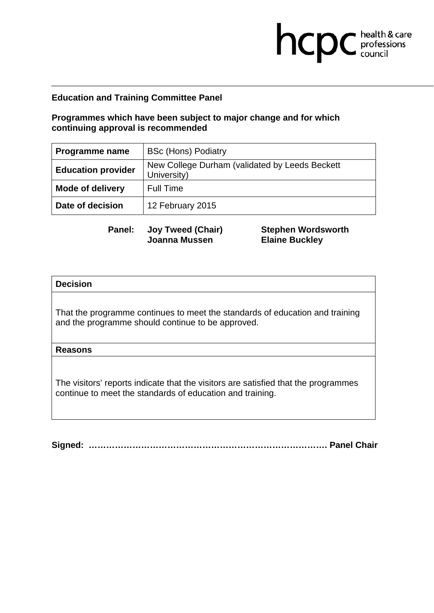## **Programmes which have been subject to major change and for which continuing approval is recommended**

| Programme name            | <b>BSc (Hons) Podiatry</b>                                    |
|---------------------------|---------------------------------------------------------------|
| <b>Education provider</b> | New College Durham (validated by Leeds Beckett<br>University) |
| <b>Mode of delivery</b>   | <b>Full Time</b>                                              |
| Date of decision          | 12 February 2015                                              |

**Panel: Joy Tweed (Chair) Joanna Mussen** 

**Stephen Wordsworth Elaine Buckley** 

hcpc health & care

### **Decision**

That the programme continues to meet the standards of education and training and the programme should continue to be approved.

### **Reasons**

The visitors' reports indicate that the visitors are satisfied that the programmes continue to meet the standards of education and training.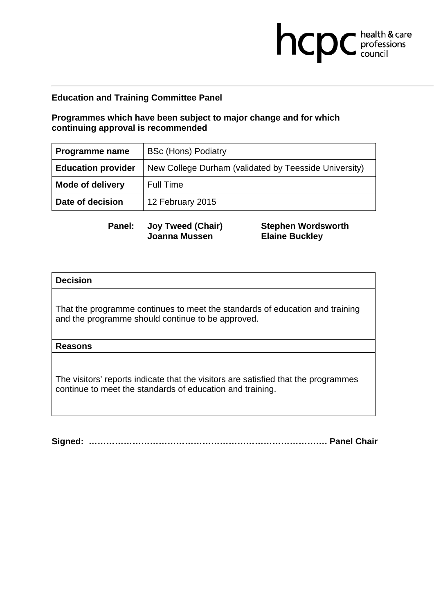## **Programmes which have been subject to major change and for which continuing approval is recommended**

| <b>Programme name</b>     | <b>BSc (Hons) Podiatry</b>                            |
|---------------------------|-------------------------------------------------------|
| <b>Education provider</b> | New College Durham (validated by Teesside University) |
| <b>Mode of delivery</b>   | <b>Full Time</b>                                      |
| Date of decision          | 12 February 2015                                      |

**Panel: Joy Tweed (Chair) Joanna Mussen** 

**Stephen Wordsworth Elaine Buckley** 

hcpc health & care

### **Decision**

That the programme continues to meet the standards of education and training and the programme should continue to be approved.

### **Reasons**

The visitors' reports indicate that the visitors are satisfied that the programmes continue to meet the standards of education and training.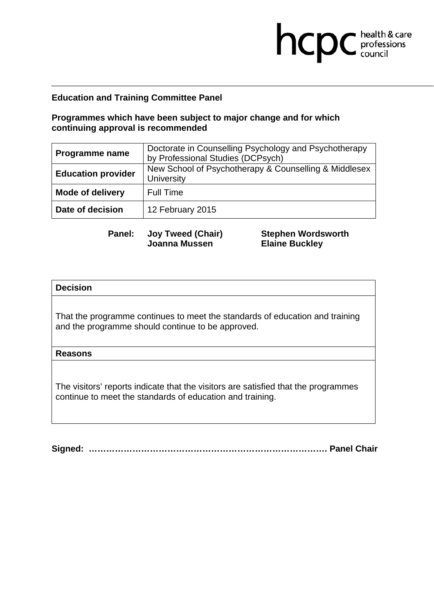# **Programmes which have been subject to major change and for which continuing approval is recommended**

| Programme name            | Doctorate in Counselling Psychology and Psychotherapy<br>by Professional Studies (DCPsych) |
|---------------------------|--------------------------------------------------------------------------------------------|
| <b>Education provider</b> | New School of Psychotherapy & Counselling & Middlesex<br>University                        |
| <b>Mode of delivery</b>   | <b>Full Time</b>                                                                           |
| Date of decision          | 12 February 2015                                                                           |

**Panel: Joy Tweed (Chair) Joanna Mussen** 

**Stephen Wordsworth Elaine Buckley** 

hcpc health & care

### **Decision**

That the programme continues to meet the standards of education and training and the programme should continue to be approved.

### **Reasons**

The visitors' reports indicate that the visitors are satisfied that the programmes continue to meet the standards of education and training.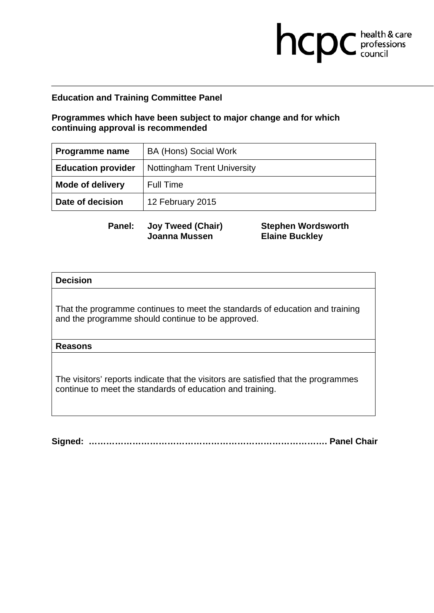## **Programmes which have been subject to major change and for which continuing approval is recommended**

| Programme name            | <b>BA (Hons) Social Work</b>       |
|---------------------------|------------------------------------|
| <b>Education provider</b> | <b>Nottingham Trent University</b> |
| <b>Mode of delivery</b>   | Full Time                          |
| Date of decision          | 12 February 2015                   |

**Panel: Joy Tweed (Chair) Joanna Mussen** 

**Stephen Wordsworth Elaine Buckley** 

hcpc health & care

### **Decision**

That the programme continues to meet the standards of education and training and the programme should continue to be approved.

### **Reasons**

The visitors' reports indicate that the visitors are satisfied that the programmes continue to meet the standards of education and training.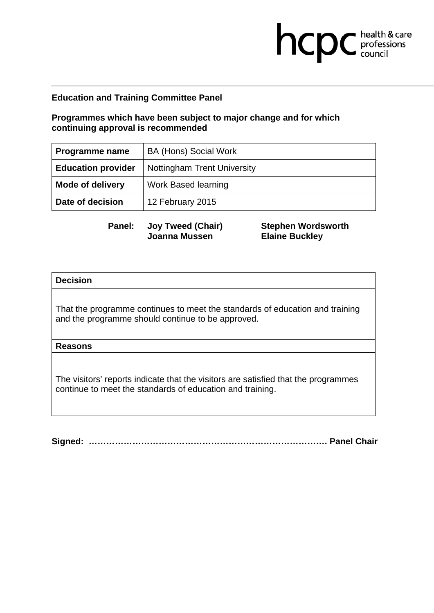## **Programmes which have been subject to major change and for which continuing approval is recommended**

| <b>Programme name</b>     | <b>BA (Hons) Social Work</b>       |
|---------------------------|------------------------------------|
| <b>Education provider</b> | <b>Nottingham Trent University</b> |
| <b>Mode of delivery</b>   | <b>Work Based learning</b>         |
| Date of decision          | 12 February 2015                   |

**Panel: Joy Tweed (Chair) Joanna Mussen** 

**Stephen Wordsworth Elaine Buckley** 

hcpc health & care

### **Decision**

That the programme continues to meet the standards of education and training and the programme should continue to be approved.

### **Reasons**

The visitors' reports indicate that the visitors are satisfied that the programmes continue to meet the standards of education and training.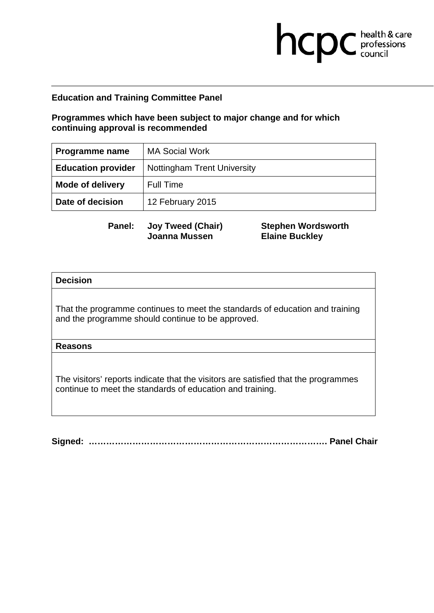## **Programmes which have been subject to major change and for which continuing approval is recommended**

| Programme name            | <b>MA Social Work</b>              |
|---------------------------|------------------------------------|
| <b>Education provider</b> | <b>Nottingham Trent University</b> |
| <b>Mode of delivery</b>   | Full Time                          |
| Date of decision          | 12 February 2015                   |

**Panel: Joy Tweed (Chair) Joanna Mussen** 

**Stephen Wordsworth Elaine Buckley** 

hcpc health & care

### **Decision**

That the programme continues to meet the standards of education and training and the programme should continue to be approved.

### **Reasons**

The visitors' reports indicate that the visitors are satisfied that the programmes continue to meet the standards of education and training.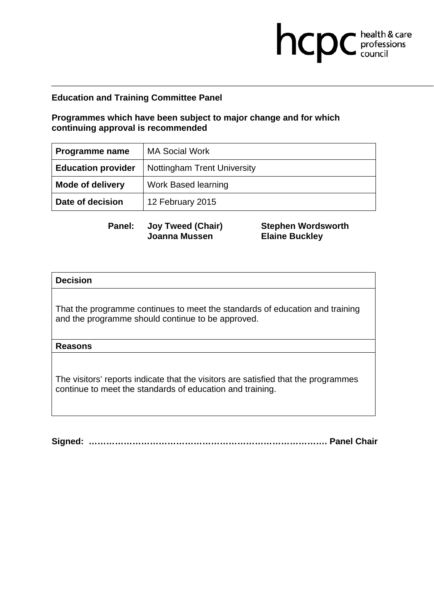## **Programmes which have been subject to major change and for which continuing approval is recommended**

| Programme name            | <b>MA Social Work</b>              |
|---------------------------|------------------------------------|
| <b>Education provider</b> | <b>Nottingham Trent University</b> |
| <b>Mode of delivery</b>   | <b>Work Based learning</b>         |
| Date of decision          | 12 February 2015                   |

**Panel: Joy Tweed (Chair) Joanna Mussen** 

**Stephen Wordsworth Elaine Buckley** 

hcpc health & care

### **Decision**

That the programme continues to meet the standards of education and training and the programme should continue to be approved.

### **Reasons**

The visitors' reports indicate that the visitors are satisfied that the programmes continue to meet the standards of education and training.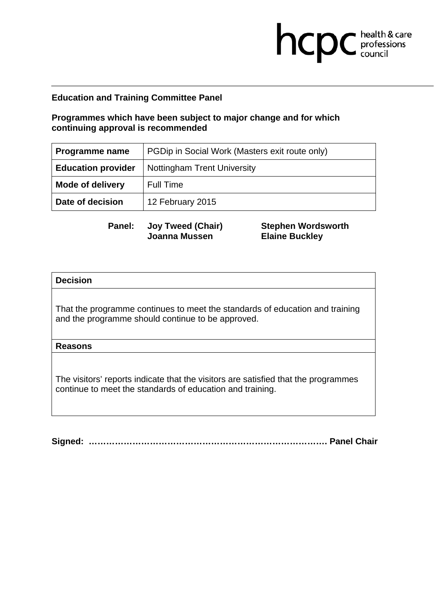# **Programmes which have been subject to major change and for which continuing approval is recommended**

| <b>Programme name</b>     | PGDip in Social Work (Masters exit route only) |
|---------------------------|------------------------------------------------|
| <b>Education provider</b> | <b>Nottingham Trent University</b>             |
| <b>Mode of delivery</b>   | <b>Full Time</b>                               |
| Date of decision          | 12 February 2015                               |

**Panel: Joy Tweed (Chair) Joanna Mussen** 

**Stephen Wordsworth Elaine Buckley** 

hcpc health & care

### **Decision**

That the programme continues to meet the standards of education and training and the programme should continue to be approved.

### **Reasons**

The visitors' reports indicate that the visitors are satisfied that the programmes continue to meet the standards of education and training.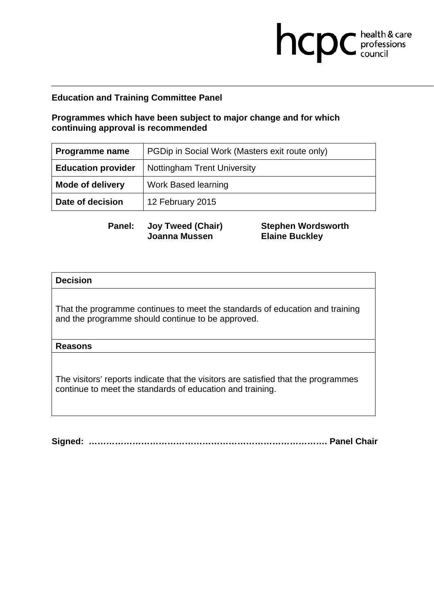# **Programmes which have been subject to major change and for which continuing approval is recommended**

| <b>Programme name</b>     | PGDip in Social Work (Masters exit route only) |
|---------------------------|------------------------------------------------|
| <b>Education provider</b> | <b>Nottingham Trent University</b>             |
| <b>Mode of delivery</b>   | <b>Work Based learning</b>                     |
| Date of decision          | 12 February 2015                               |

**Panel: Joy Tweed (Chair) Joanna Mussen** 

**Stephen Wordsworth Elaine Buckley** 

hcpc health & care

### **Decision**

That the programme continues to meet the standards of education and training and the programme should continue to be approved.

### **Reasons**

The visitors' reports indicate that the visitors are satisfied that the programmes continue to meet the standards of education and training.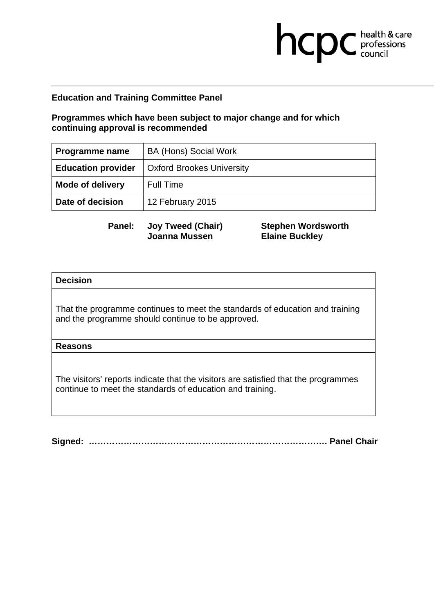## **Programmes which have been subject to major change and for which continuing approval is recommended**

| Programme name            | <b>BA (Hons) Social Work</b>     |
|---------------------------|----------------------------------|
| <b>Education provider</b> | <b>Oxford Brookes University</b> |
| <b>Mode of delivery</b>   | Full Time                        |
| Date of decision          | 12 February 2015                 |

**Panel: Joy Tweed (Chair) Joanna Mussen** 

**Stephen Wordsworth Elaine Buckley** 

hcpc health & care

### **Decision**

That the programme continues to meet the standards of education and training and the programme should continue to be approved.

### **Reasons**

The visitors' reports indicate that the visitors are satisfied that the programmes continue to meet the standards of education and training.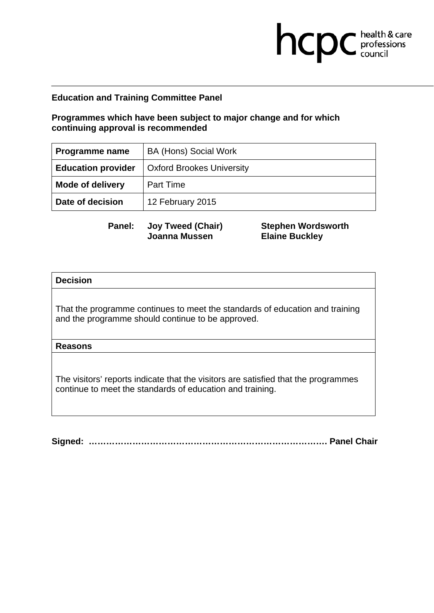## **Programmes which have been subject to major change and for which continuing approval is recommended**

| Programme name            | <b>BA (Hons) Social Work</b>     |
|---------------------------|----------------------------------|
| <b>Education provider</b> | <b>Oxford Brookes University</b> |
| <b>Mode of delivery</b>   | <b>Part Time</b>                 |
| Date of decision          | 12 February 2015                 |

**Panel: Joy Tweed (Chair) Joanna Mussen** 

**Stephen Wordsworth Elaine Buckley** 

hcpc health & care

### **Decision**

That the programme continues to meet the standards of education and training and the programme should continue to be approved.

### **Reasons**

The visitors' reports indicate that the visitors are satisfied that the programmes continue to meet the standards of education and training.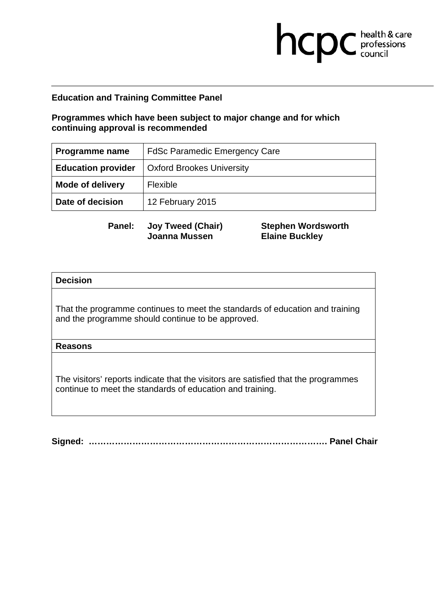## **Programmes which have been subject to major change and for which continuing approval is recommended**

| <b>Programme name</b>     | <b>FdSc Paramedic Emergency Care</b> |
|---------------------------|--------------------------------------|
| <b>Education provider</b> | <b>Oxford Brookes University</b>     |
| <b>Mode of delivery</b>   | <b>Flexible</b>                      |
| Date of decision          | 12 February 2015                     |

**Panel: Joy Tweed (Chair) Joanna Mussen** 

**Stephen Wordsworth Elaine Buckley** 

hcpc health & care

### **Decision**

That the programme continues to meet the standards of education and training and the programme should continue to be approved.

### **Reasons**

The visitors' reports indicate that the visitors are satisfied that the programmes continue to meet the standards of education and training.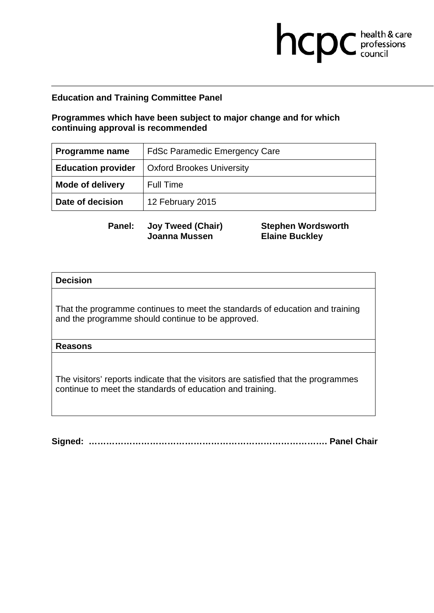## **Programmes which have been subject to major change and for which continuing approval is recommended**

| Programme name            | <b>FdSc Paramedic Emergency Care</b> |
|---------------------------|--------------------------------------|
| <b>Education provider</b> | <b>Oxford Brookes University</b>     |
| <b>Mode of delivery</b>   | <b>Full Time</b>                     |
| Date of decision          | 12 February 2015                     |

**Panel: Joy Tweed (Chair) Joanna Mussen** 

**Stephen Wordsworth Elaine Buckley** 

hcpc health & care

### **Decision**

That the programme continues to meet the standards of education and training and the programme should continue to be approved.

### **Reasons**

The visitors' reports indicate that the visitors are satisfied that the programmes continue to meet the standards of education and training.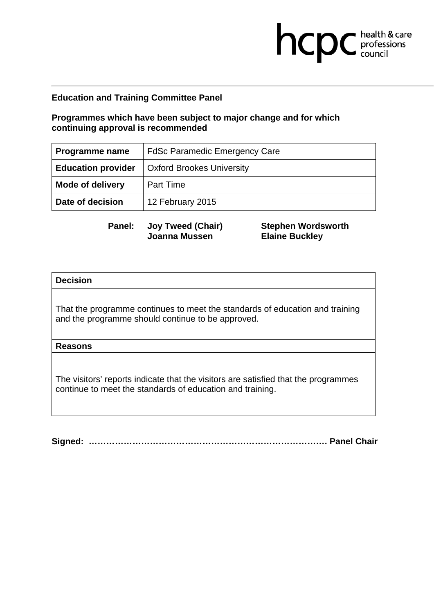## **Programmes which have been subject to major change and for which continuing approval is recommended**

| <b>Programme name</b>     | <b>FdSc Paramedic Emergency Care</b> |
|---------------------------|--------------------------------------|
| <b>Education provider</b> | <b>Oxford Brookes University</b>     |
| <b>Mode of delivery</b>   | <b>Part Time</b>                     |
| Date of decision          | 12 February 2015                     |

**Panel: Joy Tweed (Chair) Joanna Mussen** 

**Stephen Wordsworth Elaine Buckley** 

hcpc health & care

### **Decision**

That the programme continues to meet the standards of education and training and the programme should continue to be approved.

### **Reasons**

The visitors' reports indicate that the visitors are satisfied that the programmes continue to meet the standards of education and training.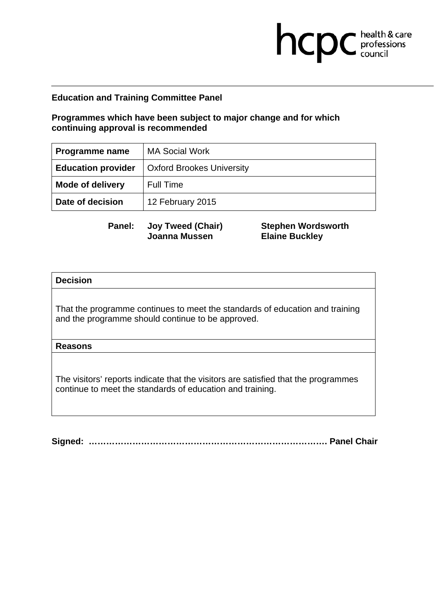## **Programmes which have been subject to major change and for which continuing approval is recommended**

| Programme name            | <b>MA Social Work</b>            |
|---------------------------|----------------------------------|
| <b>Education provider</b> | <b>Oxford Brookes University</b> |
| <b>Mode of delivery</b>   | Full Time                        |
| Date of decision          | 12 February 2015                 |

**Panel: Joy Tweed (Chair) Joanna Mussen** 

**Stephen Wordsworth Elaine Buckley** 

hcpc health & care

### **Decision**

That the programme continues to meet the standards of education and training and the programme should continue to be approved.

### **Reasons**

The visitors' reports indicate that the visitors are satisfied that the programmes continue to meet the standards of education and training.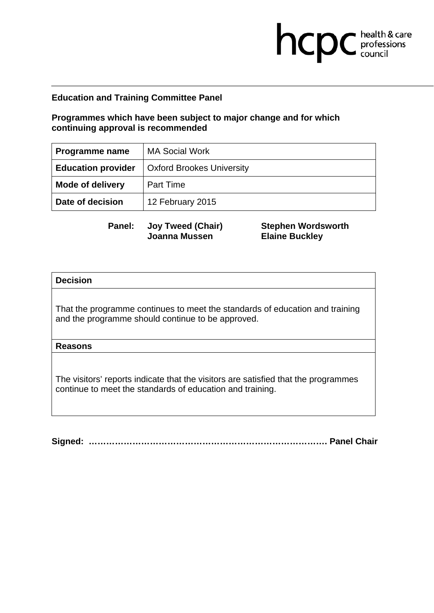## **Programmes which have been subject to major change and for which continuing approval is recommended**

| Programme name            | <b>MA Social Work</b>            |
|---------------------------|----------------------------------|
| <b>Education provider</b> | <b>Oxford Brookes University</b> |
| <b>Mode of delivery</b>   | <b>Part Time</b>                 |
| Date of decision          | 12 February 2015                 |

**Panel: Joy Tweed (Chair) Joanna Mussen** 

**Stephen Wordsworth Elaine Buckley** 

hcpc health & care

### **Decision**

That the programme continues to meet the standards of education and training and the programme should continue to be approved.

### **Reasons**

The visitors' reports indicate that the visitors are satisfied that the programmes continue to meet the standards of education and training.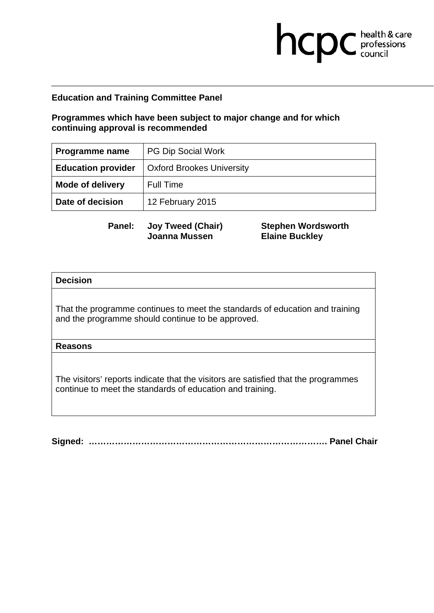## **Programmes which have been subject to major change and for which continuing approval is recommended**

| Programme name            | <b>PG Dip Social Work</b>        |
|---------------------------|----------------------------------|
| <b>Education provider</b> | <b>Oxford Brookes University</b> |
| <b>Mode of delivery</b>   | Full Time                        |
| Date of decision          | 12 February 2015                 |

**Panel: Joy Tweed (Chair) Joanna Mussen** 

**Stephen Wordsworth Elaine Buckley** 

hcpc health & care

### **Decision**

That the programme continues to meet the standards of education and training and the programme should continue to be approved.

### **Reasons**

The visitors' reports indicate that the visitors are satisfied that the programmes continue to meet the standards of education and training.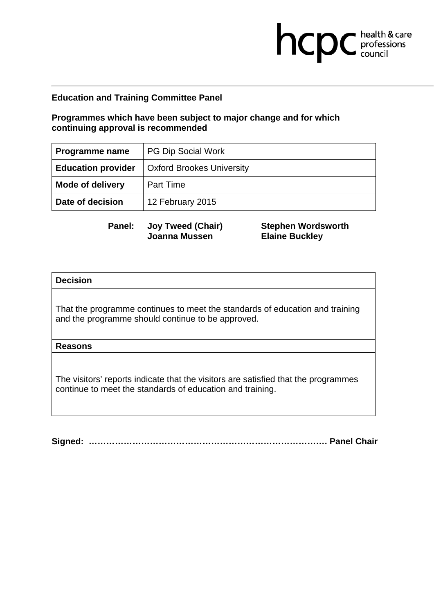## **Programmes which have been subject to major change and for which continuing approval is recommended**

| Programme name            | <b>PG Dip Social Work</b>        |
|---------------------------|----------------------------------|
| <b>Education provider</b> | <b>Oxford Brookes University</b> |
| <b>Mode of delivery</b>   | <b>Part Time</b>                 |
| Date of decision          | 12 February 2015                 |

**Panel: Joy Tweed (Chair) Joanna Mussen** 

**Stephen Wordsworth Elaine Buckley** 

hcpc health & care

### **Decision**

That the programme continues to meet the standards of education and training and the programme should continue to be approved.

### **Reasons**

The visitors' reports indicate that the visitors are satisfied that the programmes continue to meet the standards of education and training.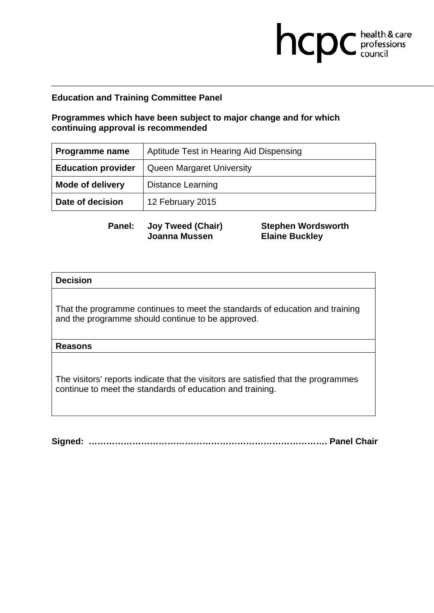# **Programmes which have been subject to major change and for which continuing approval is recommended**

| <b>Programme name</b>     | Aptitude Test in Hearing Aid Dispensing |
|---------------------------|-----------------------------------------|
| <b>Education provider</b> | <b>Queen Margaret University</b>        |
| <b>Mode of delivery</b>   | <b>Distance Learning</b>                |
| Date of decision          | 12 February 2015                        |

**Panel: Joy Tweed (Chair) Joanna Mussen** 

**Stephen Wordsworth Elaine Buckley** 

hcpc health & care

### **Decision**

That the programme continues to meet the standards of education and training and the programme should continue to be approved.

### **Reasons**

The visitors' reports indicate that the visitors are satisfied that the programmes continue to meet the standards of education and training.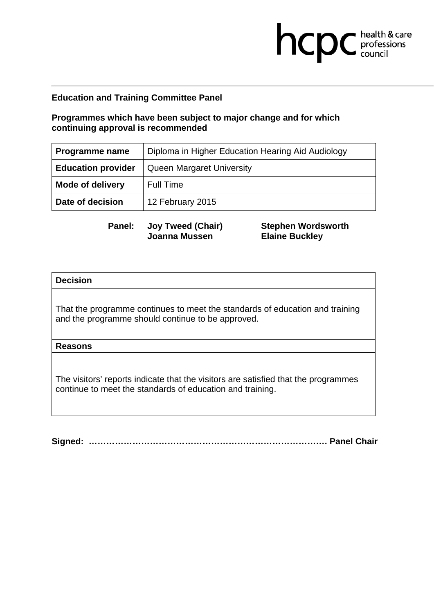# **Programmes which have been subject to major change and for which continuing approval is recommended**

| <b>Programme name</b>     | Diploma in Higher Education Hearing Aid Audiology |
|---------------------------|---------------------------------------------------|
| <b>Education provider</b> | <b>Queen Margaret University</b>                  |
| <b>Mode of delivery</b>   | <b>Full Time</b>                                  |
| Date of decision          | 12 February 2015                                  |

**Panel: Joy Tweed (Chair) Joanna Mussen** 

**Stephen Wordsworth Elaine Buckley** 

hcpc health & care

### **Decision**

That the programme continues to meet the standards of education and training and the programme should continue to be approved.

### **Reasons**

The visitors' reports indicate that the visitors are satisfied that the programmes continue to meet the standards of education and training.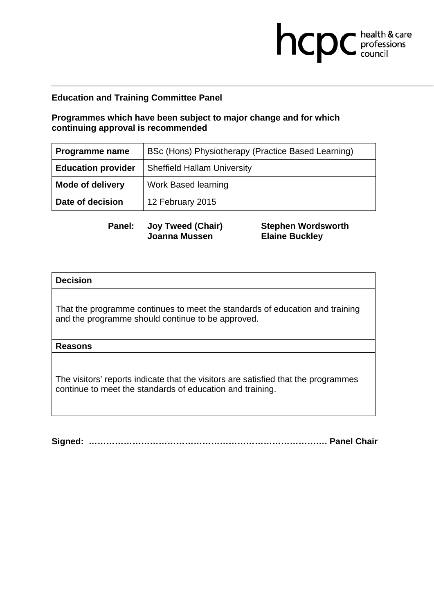# **Programmes which have been subject to major change and for which continuing approval is recommended**

| <b>Programme name</b>     | BSc (Hons) Physiotherapy (Practice Based Learning) |
|---------------------------|----------------------------------------------------|
| <b>Education provider</b> | <b>Sheffield Hallam University</b>                 |
| <b>Mode of delivery</b>   | <b>Work Based learning</b>                         |
| Date of decision          | 12 February 2015                                   |

**Panel: Joy Tweed (Chair) Joanna Mussen** 

**Stephen Wordsworth Elaine Buckley** 

hcpc health & care

### **Decision**

That the programme continues to meet the standards of education and training and the programme should continue to be approved.

### **Reasons**

The visitors' reports indicate that the visitors are satisfied that the programmes continue to meet the standards of education and training.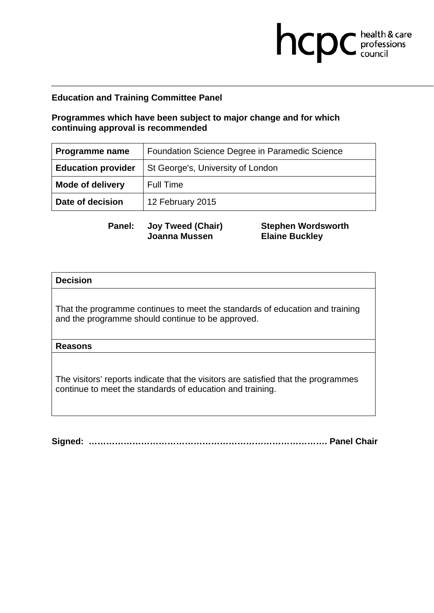# **Programmes which have been subject to major change and for which continuing approval is recommended**

| <b>Programme name</b>     | Foundation Science Degree in Paramedic Science |
|---------------------------|------------------------------------------------|
| <b>Education provider</b> | St George's, University of London              |
| <b>Mode of delivery</b>   | <b>Full Time</b>                               |
| Date of decision          | 12 February 2015                               |

**Panel: Joy Tweed (Chair) Joanna Mussen** 

**Stephen Wordsworth Elaine Buckley** 

hcpc health & care

### **Decision**

That the programme continues to meet the standards of education and training and the programme should continue to be approved.

### **Reasons**

The visitors' reports indicate that the visitors are satisfied that the programmes continue to meet the standards of education and training.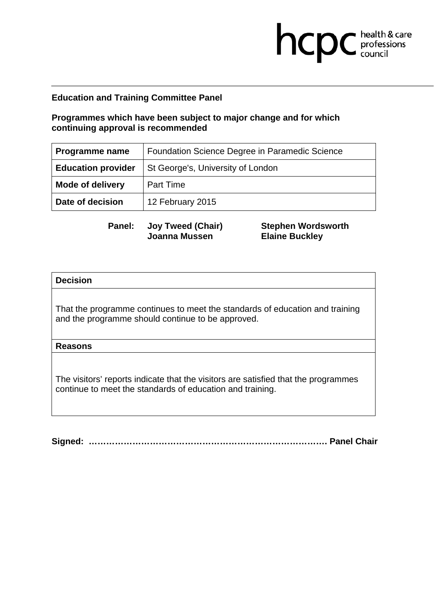# **Programmes which have been subject to major change and for which continuing approval is recommended**

| <b>Programme name</b>     | Foundation Science Degree in Paramedic Science |
|---------------------------|------------------------------------------------|
| <b>Education provider</b> | St George's, University of London              |
| <b>Mode of delivery</b>   | <b>Part Time</b>                               |
| Date of decision          | 12 February 2015                               |

**Panel: Joy Tweed (Chair) Joanna Mussen** 

**Stephen Wordsworth Elaine Buckley** 

hcpc health & care

### **Decision**

That the programme continues to meet the standards of education and training and the programme should continue to be approved.

### **Reasons**

The visitors' reports indicate that the visitors are satisfied that the programmes continue to meet the standards of education and training.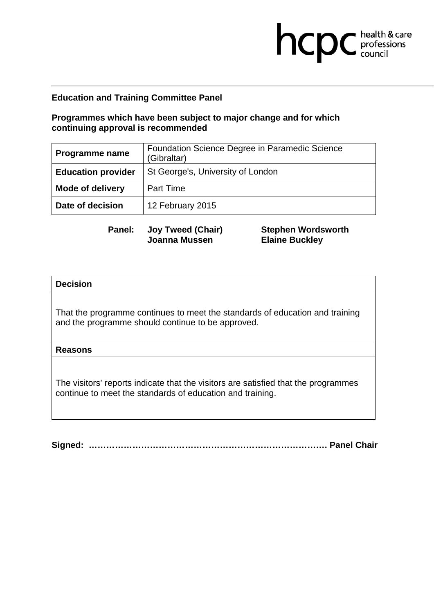# **Programmes which have been subject to major change and for which continuing approval is recommended**

| <b>Programme name</b>     | Foundation Science Degree in Paramedic Science<br>(Gibraltar) |
|---------------------------|---------------------------------------------------------------|
| <b>Education provider</b> | St George's, University of London                             |
| <b>Mode of delivery</b>   | <b>Part Time</b>                                              |
| Date of decision          | 12 February 2015                                              |

**Panel: Joy Tweed (Chair) Joanna Mussen** 

**Stephen Wordsworth Elaine Buckley** 

hcpc health & care

### **Decision**

That the programme continues to meet the standards of education and training and the programme should continue to be approved.

### **Reasons**

The visitors' reports indicate that the visitors are satisfied that the programmes continue to meet the standards of education and training.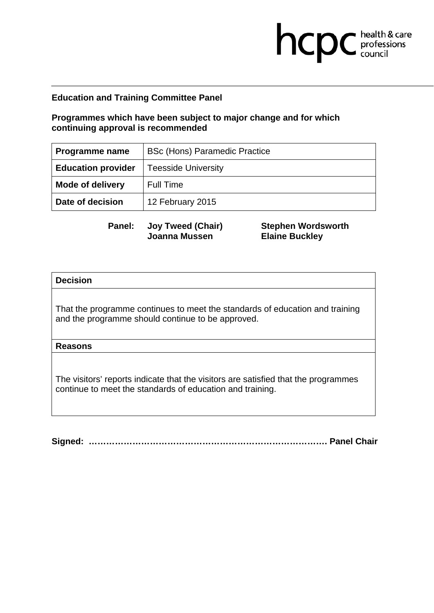## **Programmes which have been subject to major change and for which continuing approval is recommended**

| Programme name            | <b>BSc (Hons) Paramedic Practice</b> |
|---------------------------|--------------------------------------|
| <b>Education provider</b> | <b>Teesside University</b>           |
| <b>Mode of delivery</b>   | <b>Full Time</b>                     |
| Date of decision          | 12 February 2015                     |

**Panel: Joy Tweed (Chair) Joanna Mussen** 

**Stephen Wordsworth Elaine Buckley** 

hcpc health & care

### **Decision**

That the programme continues to meet the standards of education and training and the programme should continue to be approved.

### **Reasons**

The visitors' reports indicate that the visitors are satisfied that the programmes continue to meet the standards of education and training.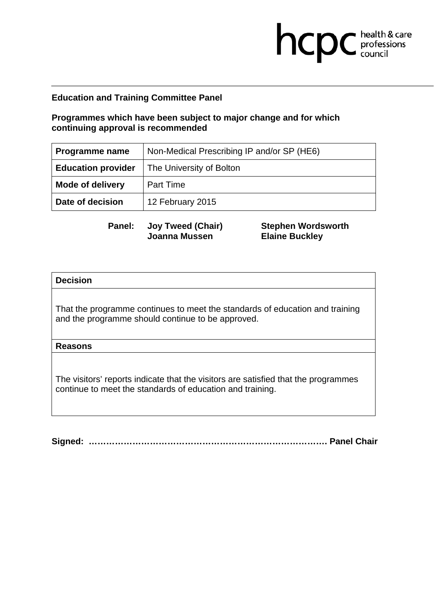# **Programmes which have been subject to major change and for which continuing approval is recommended**

| Programme name            | Non-Medical Prescribing IP and/or SP (HE6) |
|---------------------------|--------------------------------------------|
| <b>Education provider</b> | The University of Bolton                   |
| <b>Mode of delivery</b>   | <b>Part Time</b>                           |
| Date of decision          | 12 February 2015                           |

**Panel: Joy Tweed (Chair) Joanna Mussen** 

**Stephen Wordsworth Elaine Buckley** 

hcpc health & care

### **Decision**

That the programme continues to meet the standards of education and training and the programme should continue to be approved.

### **Reasons**

The visitors' reports indicate that the visitors are satisfied that the programmes continue to meet the standards of education and training.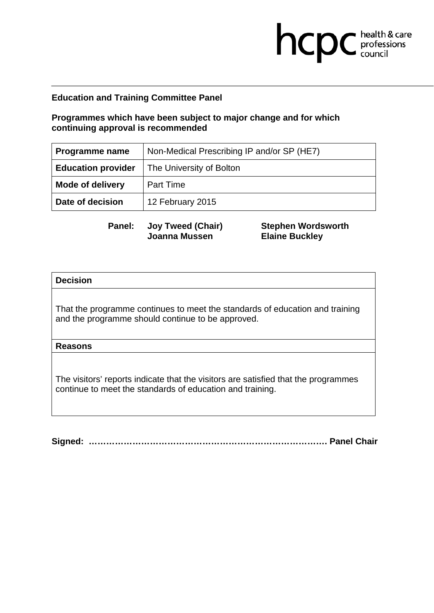# **Programmes which have been subject to major change and for which continuing approval is recommended**

| Programme name            | Non-Medical Prescribing IP and/or SP (HE7) |
|---------------------------|--------------------------------------------|
| <b>Education provider</b> | The University of Bolton                   |
| <b>Mode of delivery</b>   | <b>Part Time</b>                           |
| Date of decision          | 12 February 2015                           |

**Panel: Joy Tweed (Chair) Joanna Mussen** 

**Stephen Wordsworth Elaine Buckley** 

hcpc health & care

### **Decision**

That the programme continues to meet the standards of education and training and the programme should continue to be approved.

### **Reasons**

The visitors' reports indicate that the visitors are satisfied that the programmes continue to meet the standards of education and training.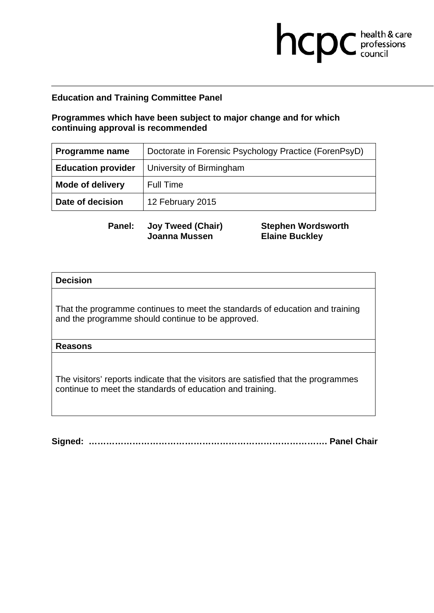# **Programmes which have been subject to major change and for which continuing approval is recommended**

| <b>Programme name</b>     | Doctorate in Forensic Psychology Practice (ForenPsyD) |
|---------------------------|-------------------------------------------------------|
| <b>Education provider</b> | University of Birmingham                              |
| <b>Mode of delivery</b>   | <b>Full Time</b>                                      |
| Date of decision          | 12 February 2015                                      |

**Panel: Joy Tweed (Chair) Joanna Mussen** 

**Stephen Wordsworth Elaine Buckley** 

hcpc health & care

### **Decision**

That the programme continues to meet the standards of education and training and the programme should continue to be approved.

### **Reasons**

The visitors' reports indicate that the visitors are satisfied that the programmes continue to meet the standards of education and training.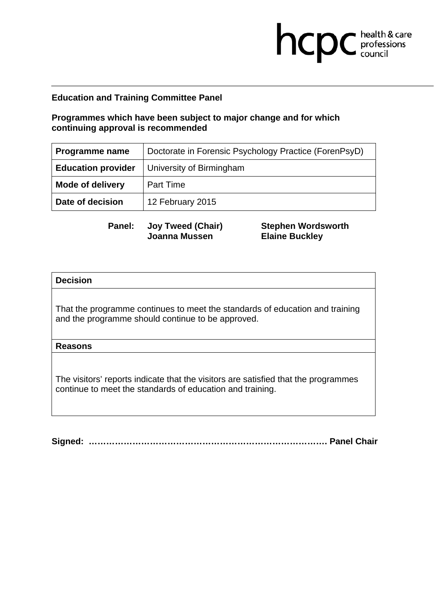# **Programmes which have been subject to major change and for which continuing approval is recommended**

| <b>Programme name</b>     | Doctorate in Forensic Psychology Practice (ForenPsyD) |
|---------------------------|-------------------------------------------------------|
| <b>Education provider</b> | University of Birmingham                              |
| <b>Mode of delivery</b>   | Part Time                                             |
| Date of decision          | 12 February 2015                                      |

**Panel: Joy Tweed (Chair) Joanna Mussen** 

**Stephen Wordsworth Elaine Buckley** 

hcpc health & care

### **Decision**

That the programme continues to meet the standards of education and training and the programme should continue to be approved.

### **Reasons**

The visitors' reports indicate that the visitors are satisfied that the programmes continue to meet the standards of education and training.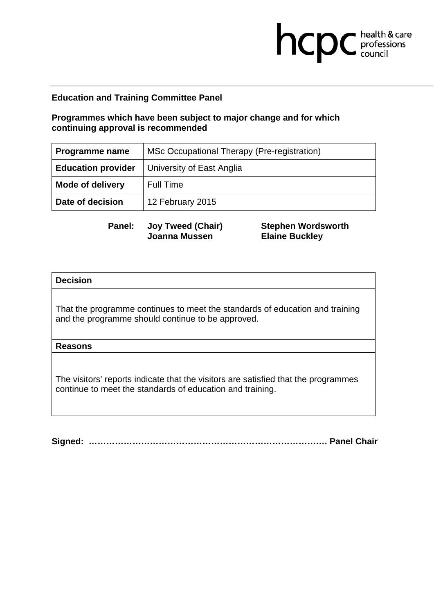## **Programmes which have been subject to major change and for which continuing approval is recommended**

| <b>Programme name</b>     | MSc Occupational Therapy (Pre-registration) |
|---------------------------|---------------------------------------------|
| <b>Education provider</b> | University of East Anglia                   |
| <b>Mode of delivery</b>   | <b>Full Time</b>                            |
| Date of decision          | 12 February 2015                            |

**Panel: Joy Tweed (Chair) Joanna Mussen** 

**Stephen Wordsworth Elaine Buckley** 

hcpc health & care

### **Decision**

That the programme continues to meet the standards of education and training and the programme should continue to be approved.

### **Reasons**

The visitors' reports indicate that the visitors are satisfied that the programmes continue to meet the standards of education and training.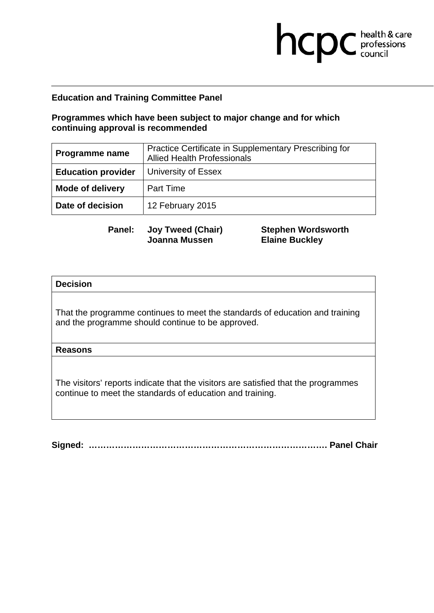# **Programmes which have been subject to major change and for which continuing approval is recommended**

| Programme name            | Practice Certificate in Supplementary Prescribing for<br><b>Allied Health Professionals</b> |
|---------------------------|---------------------------------------------------------------------------------------------|
| <b>Education provider</b> | University of Essex                                                                         |
| <b>Mode of delivery</b>   | <b>Part Time</b>                                                                            |
| Date of decision          | 12 February 2015                                                                            |

**Panel: Joy Tweed (Chair) Joanna Mussen** 

**Stephen Wordsworth Elaine Buckley** 

hcpc health & care

### **Decision**

That the programme continues to meet the standards of education and training and the programme should continue to be approved.

### **Reasons**

The visitors' reports indicate that the visitors are satisfied that the programmes continue to meet the standards of education and training.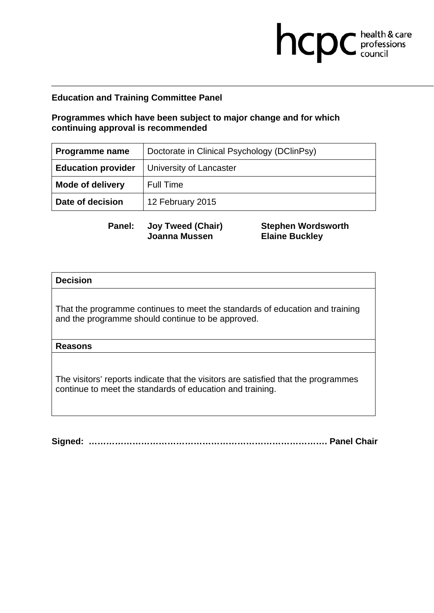# **Programmes which have been subject to major change and for which continuing approval is recommended**

| Programme name            | Doctorate in Clinical Psychology (DClinPsy) |
|---------------------------|---------------------------------------------|
| <b>Education provider</b> | University of Lancaster                     |
| <b>Mode of delivery</b>   | <b>Full Time</b>                            |
| Date of decision          | 12 February 2015                            |

**Panel: Joy Tweed (Chair) Joanna Mussen** 

**Stephen Wordsworth Elaine Buckley** 

hcpc health & care

### **Decision**

That the programme continues to meet the standards of education and training and the programme should continue to be approved.

### **Reasons**

The visitors' reports indicate that the visitors are satisfied that the programmes continue to meet the standards of education and training.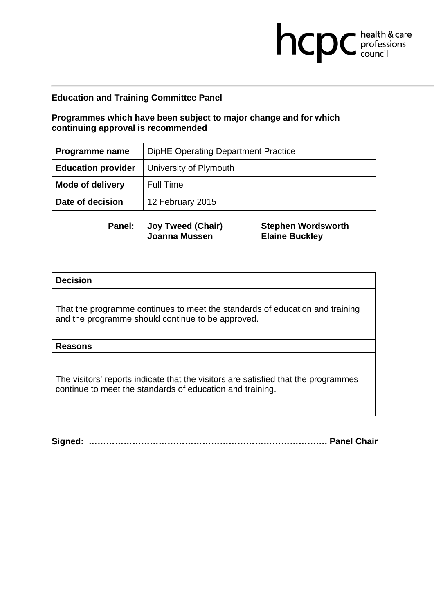## **Programmes which have been subject to major change and for which continuing approval is recommended**

| Programme name            | <b>DipHE Operating Department Practice</b> |
|---------------------------|--------------------------------------------|
| <b>Education provider</b> | University of Plymouth                     |
| <b>Mode of delivery</b>   | <b>Full Time</b>                           |
| Date of decision          | 12 February 2015                           |

**Panel: Joy Tweed (Chair) Joanna Mussen** 

**Stephen Wordsworth Elaine Buckley** 

hcpc health & care

### **Decision**

That the programme continues to meet the standards of education and training and the programme should continue to be approved.

### **Reasons**

The visitors' reports indicate that the visitors are satisfied that the programmes continue to meet the standards of education and training.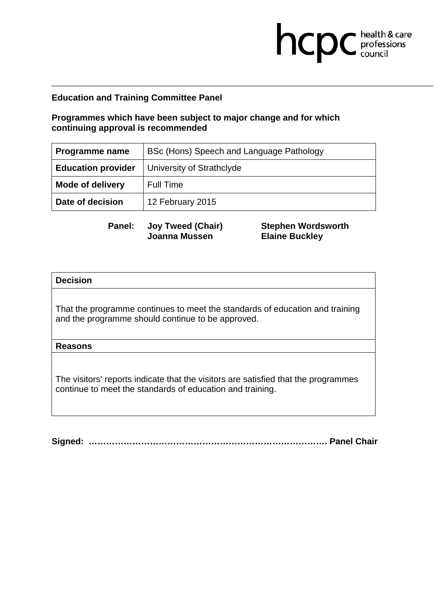# **Programmes which have been subject to major change and for which continuing approval is recommended**

| <b>Programme name</b>     | BSc (Hons) Speech and Language Pathology |
|---------------------------|------------------------------------------|
| <b>Education provider</b> | University of Strathclyde                |
| <b>Mode of delivery</b>   | <b>Full Time</b>                         |
| Date of decision          | 12 February 2015                         |

**Panel: Joy Tweed (Chair) Joanna Mussen** 

**Stephen Wordsworth Elaine Buckley** 

hcpc health & care

### **Decision**

That the programme continues to meet the standards of education and training and the programme should continue to be approved.

### **Reasons**

The visitors' reports indicate that the visitors are satisfied that the programmes continue to meet the standards of education and training.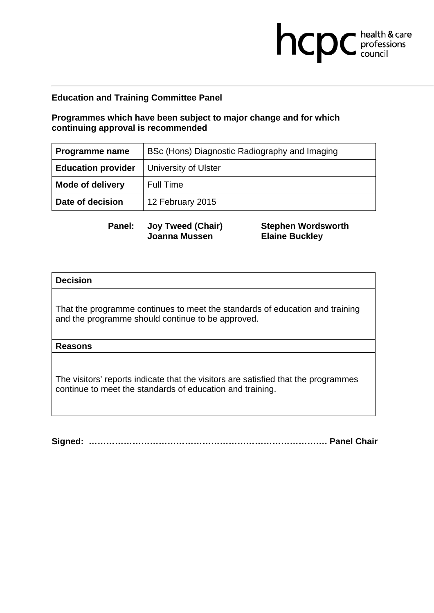# **Programmes which have been subject to major change and for which continuing approval is recommended**

| <b>Programme name</b>     | BSc (Hons) Diagnostic Radiography and Imaging |
|---------------------------|-----------------------------------------------|
| <b>Education provider</b> | University of Ulster                          |
| <b>Mode of delivery</b>   | <b>Full Time</b>                              |
| Date of decision          | 12 February 2015                              |

**Panel: Joy Tweed (Chair) Joanna Mussen** 

**Stephen Wordsworth Elaine Buckley** 

hcpc health & care

### **Decision**

That the programme continues to meet the standards of education and training and the programme should continue to be approved.

### **Reasons**

The visitors' reports indicate that the visitors are satisfied that the programmes continue to meet the standards of education and training.